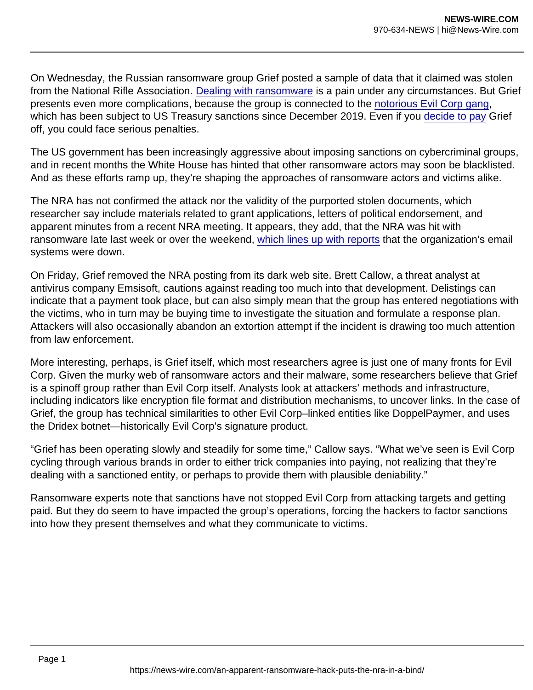On Wednesday, the Russian ransomware group Grief posted a sample of data that it claimed was stolen from the National Rifle Association. [Dealing with ransomware](https://www.wired.com/story/ransomware-2020-headed-down-dire-path/) is a pain under any circumstances. But Grief presents even more complications, because the group is connected to the [notorious Evil Corp gang,](https://www.wired.com/story/alleged-russian-hacker-evil-corp-indicted/) which has been subject to US Treasury sanctions since December 2019. Even if you [decide to pay](https://www.wired.com/story/colonial-pipeline-ransomware-payment/) Grief off, you could face serious penalties.

The US government has been increasingly aggressive about imposing sanctions on cybercriminal groups, and in recent months the White House has hinted that other ransomware actors may soon be blacklisted. And as these efforts ramp up, they're shaping the approaches of ransomware actors and victims alike.

The NRA has not confirmed the attack nor the validity of the purported stolen documents, which researcher say include materials related to grant applications, letters of political endorsement, and apparent minutes from a recent NRA meeting. It appears, they add, that the NRA was hit with ransomware late last week or over the weekend, [which lines up with reports](https://apnews.com/article/technology-business-europe-russia-united-states-8e2e6ead27e80e79482caf54111b4c3d) that the organization's email systems were down.

On Friday, Grief removed the NRA posting from its dark web site. Brett Callow, a threat analyst at antivirus company Emsisoft, cautions against reading too much into that development. Delistings can indicate that a payment took place, but can also simply mean that the group has entered negotiations with the victims, who in turn may be buying time to investigate the situation and formulate a response plan. Attackers will also occasionally abandon an extortion attempt if the incident is drawing too much attention from law enforcement.

More interesting, perhaps, is Grief itself, which most researchers agree is just one of many fronts for Evil Corp. Given the murky web of ransomware actors and their malware, some researchers believe that Grief is a spinoff group rather than Evil Corp itself. Analysts look at attackers' methods and infrastructure, including indicators like encryption file format and distribution mechanisms, to uncover links. In the case of Grief, the group has technical similarities to other Evil Corp–linked entities like DoppelPaymer, and uses the Dridex botnet—historically Evil Corp's signature product.

"Grief has been operating slowly and steadily for some time," Callow says. "What we've seen is Evil Corp cycling through various brands in order to either trick companies into paying, not realizing that they're dealing with a sanctioned entity, or perhaps to provide them with plausible deniability."

Ransomware experts note that sanctions have not stopped Evil Corp from attacking targets and getting paid. But they do seem to have impacted the group's operations, forcing the hackers to factor sanctions into how they present themselves and what they communicate to victims.